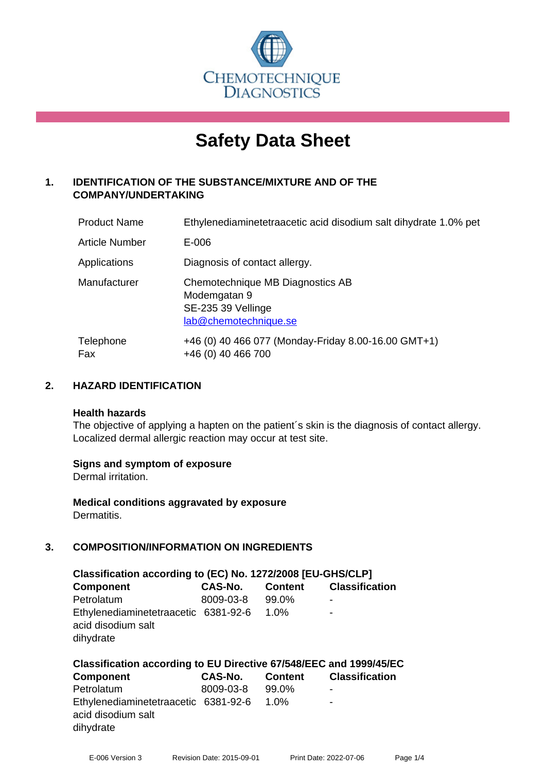

# **Safety Data Sheet**

# **1. IDENTIFICATION OF THE SUBSTANCE/MIXTURE AND OF THE COMPANY/UNDERTAKING**

| <b>Product Name</b>   | Ethylenediaminetetraacetic acid disodium salt dihydrate 1.0% pet                                |
|-----------------------|-------------------------------------------------------------------------------------------------|
| <b>Article Number</b> | E-006                                                                                           |
| Applications          | Diagnosis of contact allergy.                                                                   |
| Manufacturer          | Chemotechnique MB Diagnostics AB<br>Modemgatan 9<br>SE-235 39 Vellinge<br>lab@chemotechnique.se |
| Telephone<br>Fax      | +46 (0) 40 466 077 (Monday-Friday 8.00-16.00 GMT+1)<br>+46 (0) 40 466 700                       |

# **2. HAZARD IDENTIFICATION**

#### **Health hazards**

The objective of applying a hapten on the patient's skin is the diagnosis of contact allergy. Localized dermal allergic reaction may occur at test site.

# **Signs and symptom of exposure**

Dermal irritation.

**Medical conditions aggravated by exposure** Dermatitis.

# **3. COMPOSITION/INFORMATION ON INGREDIENTS**

| Classification according to (EC) No. 1272/2008 [EU-GHS/CLP]             |                |                |                       |  |  |
|-------------------------------------------------------------------------|----------------|----------------|-----------------------|--|--|
| <b>Component</b>                                                        | <b>CAS-No.</b> | <b>Content</b> | <b>Classification</b> |  |  |
| Petrolatum                                                              | 8009-03-8      | 99.0%          | ۰                     |  |  |
| Ethylenediaminetetraacetic 6381-92-6<br>acid disodium salt<br>dihydrate |                | 1.0%           | ۰                     |  |  |

| Classification according to EU Directive 67/548/EEC and 1999/45/EC      |           |       |                               |  |  |  |
|-------------------------------------------------------------------------|-----------|-------|-------------------------------|--|--|--|
| <b>Component</b>                                                        | CAS-No.   |       | <b>Content Classification</b> |  |  |  |
| Petrolatum                                                              | 8009-03-8 | 99.0% | $\overline{\phantom{a}}$      |  |  |  |
| Ethylenediaminetetraacetic 6381-92-6<br>acid disodium salt<br>dihydrate |           | 1.0%  | ۰                             |  |  |  |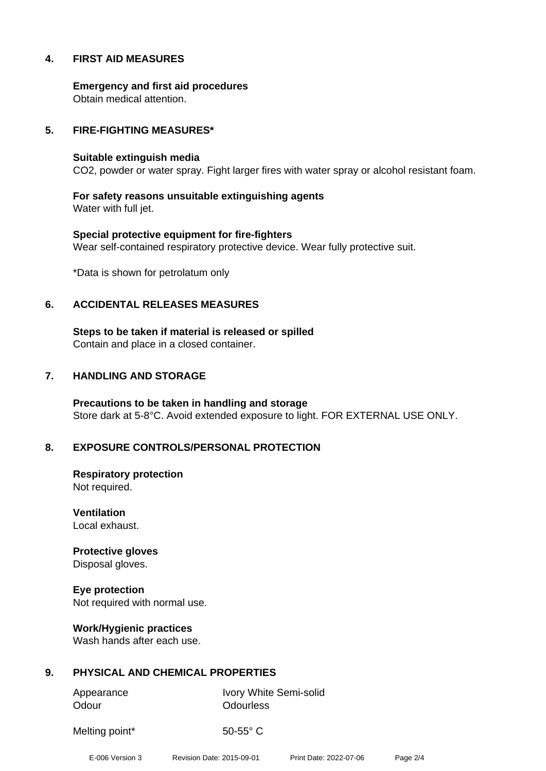# **4. FIRST AID MEASURES**

**Emergency and first aid procedures** Obtain medical attention.

#### **5. FIRE-FIGHTING MEASURES\***

#### **Suitable extinguish media**

CO2, powder or water spray. Fight larger fires with water spray or alcohol resistant foam.

**For safety reasons unsuitable extinguishing agents** Water with full jet.

**Special protective equipment for fire-fighters** Wear self-contained respiratory protective device. Wear fully protective suit.

\*Data is shown for petrolatum only

#### **6. ACCIDENTAL RELEASES MEASURES**

**Steps to be taken if material is released or spilled** Contain and place in a closed container.

#### **7. HANDLING AND STORAGE**

**Precautions to be taken in handling and storage** Store dark at 5-8°C. Avoid extended exposure to light. FOR EXTERNAL USE ONLY.

# **8. EXPOSURE CONTROLS/PERSONAL PROTECTION**

**Respiratory protection** Not required.

**Ventilation** Local exhaust.

**Protective gloves** Disposal gloves.

**Eye protection** Not required with normal use.

**Work/Hygienic practices** Wash hands after each use.

# **9. PHYSICAL AND CHEMICAL PROPERTIES**

Odour **Odourless** 

Appearance Ivory White Semi-solid

Melting point\* 50-55° C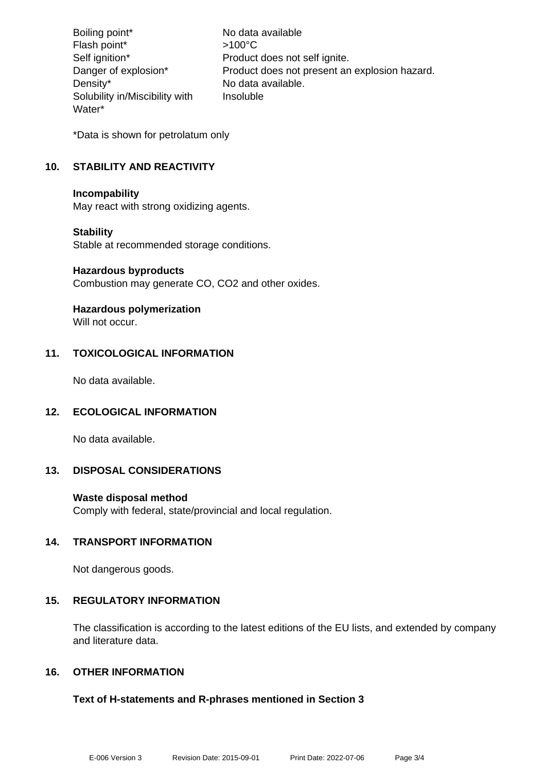Boiling point\* No data available Flash point\* >100°C Self ignition\* Product does not self ignite. Danger of explosion\* Product does not present an explosion hazard. Density\* No data available. Solubility in/Miscibility with Water\* Insoluble

\*Data is shown for petrolatum only

# **10. STABILITY AND REACTIVITY**

#### **Incompability**

May react with strong oxidizing agents.

# **Stability**

Stable at recommended storage conditions.

#### **Hazardous byproducts**

Combustion may generate CO, CO2 and other oxides.

# **Hazardous polymerization**

Will not occur.

# **11. TOXICOLOGICAL INFORMATION**

No data available.

# **12. ECOLOGICAL INFORMATION**

No data available.

# **13. DISPOSAL CONSIDERATIONS**

# **Waste disposal method**

Comply with federal, state/provincial and local regulation.

# **14. TRANSPORT INFORMATION**

Not dangerous goods.

# **15. REGULATORY INFORMATION**

The classification is according to the latest editions of the EU lists, and extended by company and literature data.

# **16. OTHER INFORMATION**

# **Text of H-statements and R-phrases mentioned in Section 3**